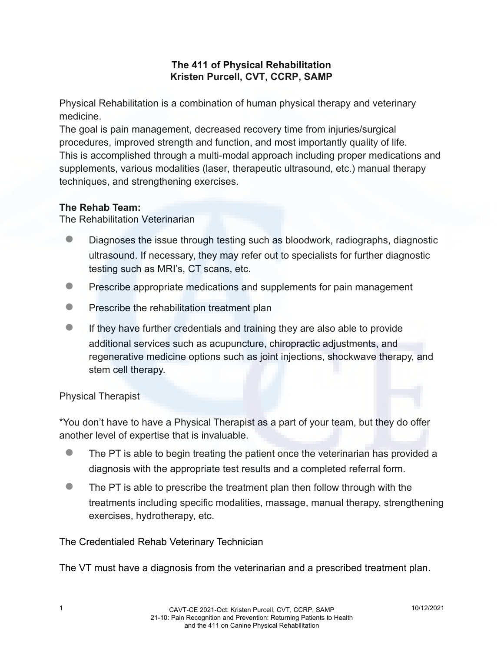## **The 411 of Physical Rehabilitation Kristen Purcell, CVT, CCRP, SAMP**

Physical Rehabilitation is a combination of human physical therapy and veterinary medicine.

The goal is pain management, decreased recovery time from injuries/surgical procedures, improved strength and function, and most importantly quality of life. This is accomplished through a multi-modal approach including proper medications and supplements, various modalities (laser, therapeutic ultrasound, etc.) manual therapy techniques, and strengthening exercises.

#### **The Rehab Team:**

The Rehabilitation Veterinarian

- Diagnoses the issue through testing such as bloodwork, radiographs, diagnostic ultrasound. If necessary, they may refer out to specialists for further diagnostic testing such as MRI's, CT scans, etc.
- **Prescribe appropriate medications and supplements for pain management**
- **Prescribe the rehabilitation treatment plan**
- If they have further credentials and training they are also able to provide additional services such as acupuncture, chiropractic adjustments, and regenerative medicine options such as joint injections, shockwave therapy, and stem cell therapy.

## Physical Therapist

\*You don't have to have a Physical Therapist as a part of your team, but they do offer another level of expertise that is invaluable.

- The PT is able to begin treating the patient once the veterinarian has provided a diagnosis with the appropriate test results and a completed referral form.
- The PT is able to prescribe the treatment plan then follow through with the treatments including specific modalities, massage, manual therapy, strengthening exercises, hydrotherapy, etc.

The Credentialed Rehab Veterinary Technician

The VT must have a diagnosis from the veterinarian and a prescribed treatment plan.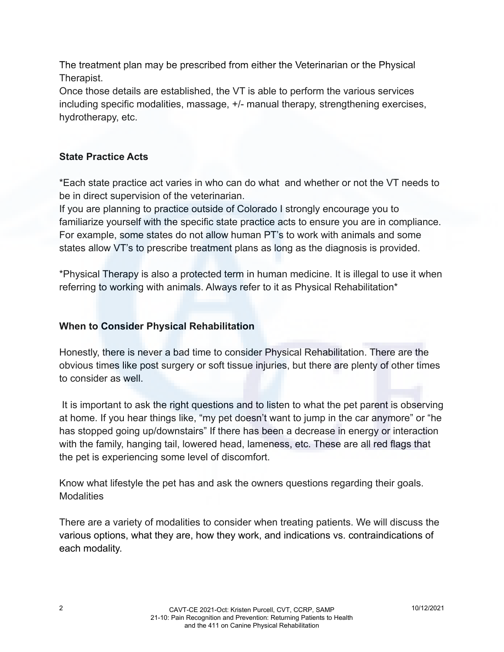The treatment plan may be prescribed from either the Veterinarian or the Physical Therapist.

Once those details are established, the VT is able to perform the various services including specific modalities, massage, +/- manual therapy, strengthening exercises, hydrotherapy, etc.

# **State Practice Acts**

\*Each state practice act varies in who can do what and whether or not the VT needs to be in direct supervision of the veterinarian.

If you are planning to practice outside of Colorado I strongly encourage you to familiarize yourself with the specific state practice acts to ensure you are in compliance. For example, some states do not allow human PT's to work with animals and some states allow VT's to prescribe treatment plans as long as the diagnosis is provided.

\*Physical Therapy is also a protected term in human medicine. It is illegal to use it when referring to working with animals. Always refer to it as Physical Rehabilitation\*

## **When to Consider Physical Rehabilitation**

Honestly, there is never a bad time to consider Physical Rehabilitation. There are the obvious times like post surgery or soft tissue injuries, but there are plenty of other times to consider as well.

It is important to ask the right questions and to listen to what the pet parent is observing at home. If you hear things like, "my pet doesn't want to jump in the car anymore" or "he has stopped going up/downstairs" If there has been a decrease in energy or interaction with the family, hanging tail, lowered head, lameness, etc. These are all red flags that the pet is experiencing some level of discomfort.

Know what lifestyle the pet has and ask the owners questions regarding their goals. **Modalities** 

There are a variety of modalities to consider when treating patients. We will discuss the various options, what they are, how they work, and indications vs. contraindications of each modality.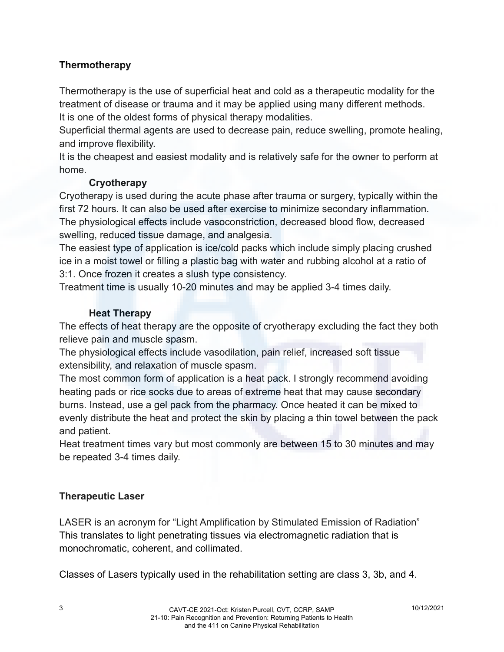# **Thermotherapy**

Thermotherapy is the use of superficial heat and cold as a therapeutic modality for the treatment of disease or trauma and it may be applied using many different methods. It is one of the oldest forms of physical therapy modalities.

Superficial thermal agents are used to decrease pain, reduce swelling, promote healing, and improve flexibility.

It is the cheapest and easiest modality and is relatively safe for the owner to perform at home.

#### **Cryotherapy**

Cryotherapy is used during the acute phase after trauma or surgery, typically within the first 72 hours. It can also be used after exercise to minimize secondary inflammation. The physiological effects include vasoconstriction, decreased blood flow, decreased swelling, reduced tissue damage, and analgesia.

The easiest type of application is ice/cold packs which include simply placing crushed ice in a moist towel or filling a plastic bag with water and rubbing alcohol at a ratio of 3:1. Once frozen it creates a slush type consistency.

Treatment time is usually 10-20 minutes and may be applied 3-4 times daily.

#### **Heat Therapy**

The effects of heat therapy are the opposite of cryotherapy excluding the fact they both relieve pain and muscle spasm.

The physiological effects include vasodilation, pain relief, increased soft tissue extensibility, and relaxation of muscle spasm.

The most common form of application is a heat pack. I strongly recommend avoiding heating pads or rice socks due to areas of extreme heat that may cause secondary burns. Instead, use a gel pack from the pharmacy. Once heated it can be mixed to evenly distribute the heat and protect the skin by placing a thin towel between the pack and patient.

Heat treatment times vary but most commonly are between 15 to 30 minutes and may be repeated 3-4 times daily.

## **Therapeutic Laser**

LASER is an acronym for "Light Amplification by Stimulated Emission of Radiation" This translates to light penetrating tissues via electromagnetic radiation that is monochromatic, coherent, and collimated.

Classes of Lasers typically used in the rehabilitation setting are class 3, 3b, and 4.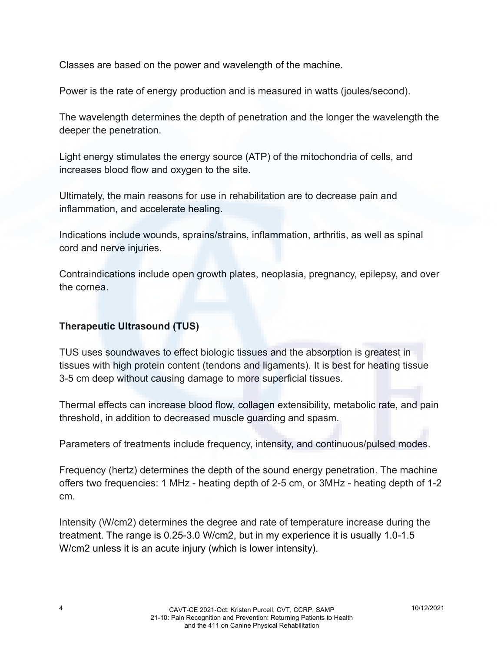Classes are based on the power and wavelength of the machine.

Power is the rate of energy production and is measured in watts (joules/second).

The wavelength determines the depth of penetration and the longer the wavelength the deeper the penetration.

Light energy stimulates the energy source (ATP) of the mitochondria of cells, and increases blood flow and oxygen to the site.

Ultimately, the main reasons for use in rehabilitation are to decrease pain and inflammation, and accelerate healing.

Indications include wounds, sprains/strains, inflammation, arthritis, as well as spinal cord and nerve injuries.

Contraindications include open growth plates, neoplasia, pregnancy, epilepsy, and over the cornea.

## **Therapeutic Ultrasound (TUS)**

TUS uses soundwaves to effect biologic tissues and the absorption is greatest in tissues with high protein content (tendons and ligaments). It is best for heating tissue 3-5 cm deep without causing damage to more superficial tissues.

Thermal effects can increase blood flow, collagen extensibility, metabolic rate, and pain threshold, in addition to decreased muscle guarding and spasm.

Parameters of treatments include frequency, intensity, and continuous/pulsed modes.

Frequency (hertz) determines the depth of the sound energy penetration. The machine offers two frequencies: 1 MHz - heating depth of 2-5 cm, or 3MHz - heating depth of 1-2 cm.

Intensity (W/cm2) determines the degree and rate of temperature increase during the treatment. The range is 0.25-3.0 W/cm2, but in my experience it is usually 1.0-1.5 W/cm2 unless it is an acute injury (which is lower intensity).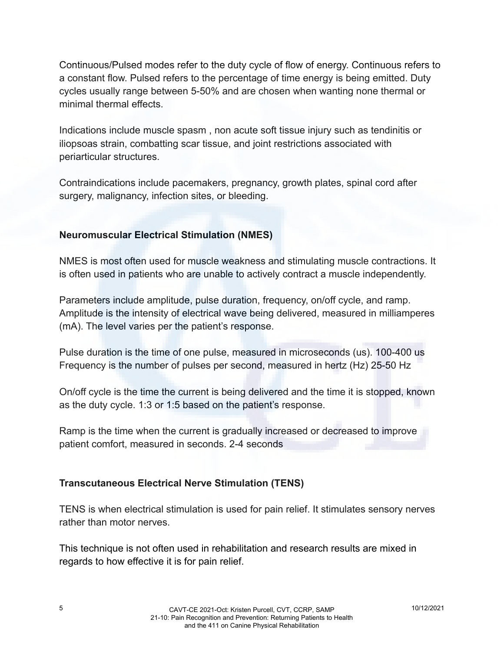Continuous/Pulsed modes refer to the duty cycle of flow of energy. Continuous refers to a constant flow. Pulsed refers to the percentage of time energy is being emitted. Duty cycles usually range between 5-50% and are chosen when wanting none thermal or minimal thermal effects.

Indications include muscle spasm , non acute soft tissue injury such as tendinitis or iliopsoas strain, combatting scar tissue, and joint restrictions associated with periarticular structures.

Contraindications include pacemakers, pregnancy, growth plates, spinal cord after surgery, malignancy, infection sites, or bleeding.

## **Neuromuscular Electrical Stimulation (NMES)**

NMES is most often used for muscle weakness and stimulating muscle contractions. It is often used in patients who are unable to actively contract a muscle independently.

Parameters include amplitude, pulse duration, frequency, on/off cycle, and ramp. Amplitude is the intensity of electrical wave being delivered, measured in milliamperes (mA). The level varies per the patient's response.

Pulse duration is the time of one pulse, measured in microseconds (us). 100-400 us Frequency is the number of pulses per second, measured in hertz (Hz) 25-50 Hz

On/off cycle is the time the current is being delivered and the time it is stopped, known as the duty cycle. 1:3 or 1:5 based on the patient's response.

Ramp is the time when the current is gradually increased or decreased to improve patient comfort, measured in seconds. 2-4 seconds

## **Transcutaneous Electrical Nerve Stimulation (TENS)**

TENS is when electrical stimulation is used for pain relief. It stimulates sensory nerves rather than motor nerves.

This technique is not often used in rehabilitation and research results are mixed in regards to how effective it is for pain relief.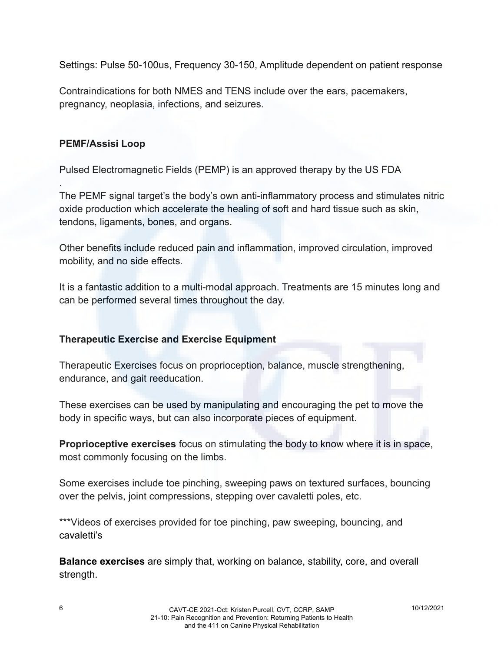Settings: Pulse 50-100us, Frequency 30-150, Amplitude dependent on patient response

Contraindications for both NMES and TENS include over the ears, pacemakers, pregnancy, neoplasia, infections, and seizures.

#### **PEMF/Assisi Loop**

.

Pulsed Electromagnetic Fields (PEMP) is an approved therapy by the US FDA

The PEMF signal target's the body's own anti-inflammatory process and stimulates nitric oxide production which accelerate the healing of soft and hard tissue such as skin, tendons, ligaments, bones, and organs.

Other benefits include reduced pain and inflammation, improved circulation, improved mobility, and no side effects.

It is a fantastic addition to a multi-modal approach. Treatments are 15 minutes long and can be performed several times throughout the day.

#### **Therapeutic Exercise and Exercise Equipment**

Therapeutic Exercises focus on proprioception, balance, muscle strengthening, endurance, and gait reeducation.

These exercises can be used by manipulating and encouraging the pet to move the body in specific ways, but can also incorporate pieces of equipment.

**Proprioceptive exercises** focus on stimulating the body to know where it is in space, most commonly focusing on the limbs.

Some exercises include toe pinching, sweeping paws on textured surfaces, bouncing over the pelvis, joint compressions, stepping over cavaletti poles, etc.

\*\*\*Videos of exercises provided for toe pinching, paw sweeping, bouncing, and cavaletti's

**Balance exercises** are simply that, working on balance, stability, core, and overall strength.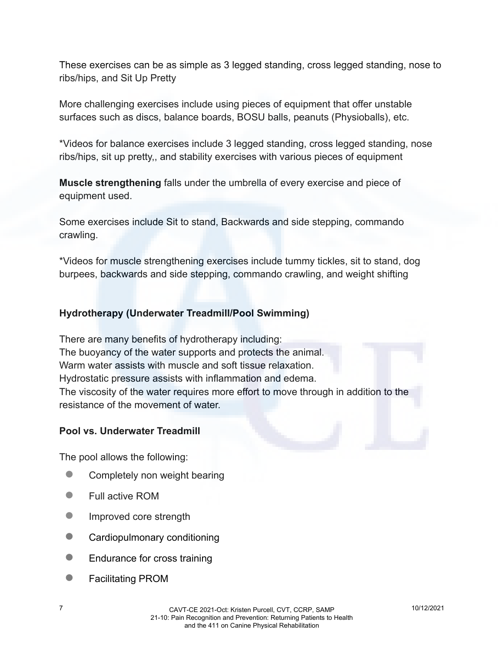These exercises can be as simple as 3 legged standing, cross legged standing, nose to ribs/hips, and Sit Up Pretty

More challenging exercises include using pieces of equipment that offer unstable surfaces such as discs, balance boards, BOSU balls, peanuts (Physioballs), etc.

\*Videos for balance exercises include 3 legged standing, cross legged standing, nose ribs/hips, sit up pretty,, and stability exercises with various pieces of equipment

**Muscle strengthening** falls under the umbrella of every exercise and piece of equipment used.

Some exercises include Sit to stand, Backwards and side stepping, commando crawling.

\*Videos for muscle strengthening exercises include tummy tickles, sit to stand, dog burpees, backwards and side stepping, commando crawling, and weight shifting

## **Hydrotherapy (Underwater Treadmill/Pool Swimming)**

There are many benefits of hydrotherapy including: The buoyancy of the water supports and protects the animal. Warm water assists with muscle and soft tissue relaxation. Hydrostatic pressure assists with inflammation and edema. The viscosity of the water requires more effort to move through in addition to the resistance of the movement of water.

#### **Pool vs. Underwater Treadmill**

The pool allows the following:

- Completely non weight bearing
- Full active ROM
- **•** Improved core strength
- Cardiopulmonary conditioning
- Endurance for cross training
- **Facilitating PROM**